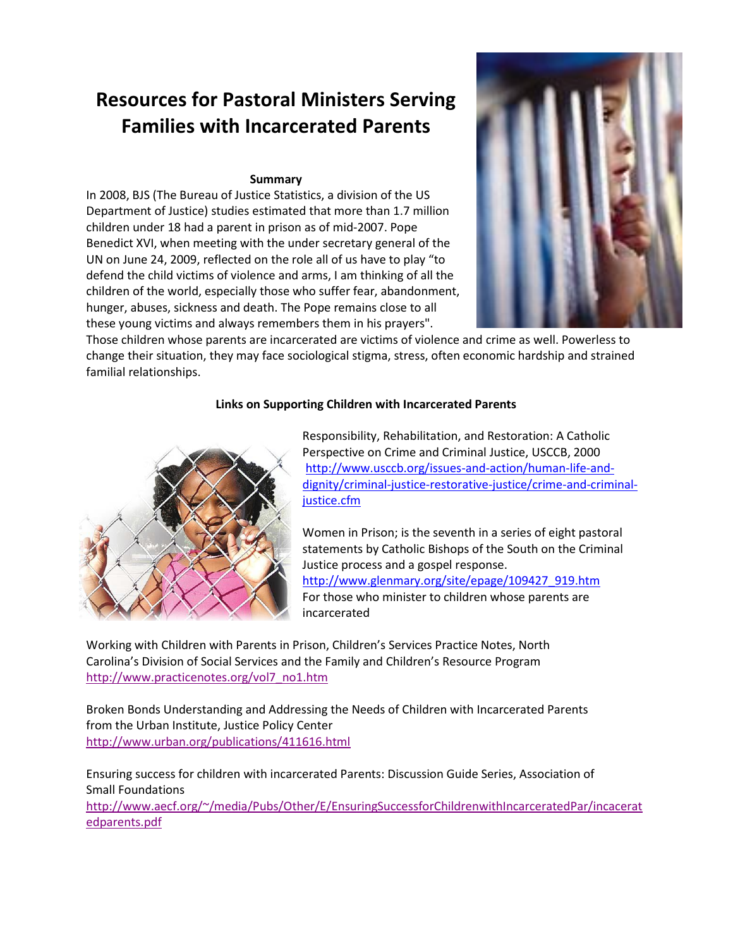# **Resources for Pastoral Ministers Serving Families with Incarcerated Parents**

## **Summary**

In 2008, BJS (The Bureau of Justice Statistics, a division of the US Department of Justice) studies estimated that more than 1.7 million children under 18 had a parent in prison as of mid-2007. Pope Benedict XVI, when meeting with the under secretary general of the UN on June 24, 2009, reflected on the role all of us have to play "to defend the child victims of violence and arms, I am thinking of all the children of the world, especially those who suffer fear, abandonment, hunger, abuses, sickness and death. The Pope remains close to all these young victims and always remembers them in his prayers".



Those children whose parents are incarcerated are victims of violence and crime as well. Powerless to change their situation, they may face sociological stigma, stress, often economic hardship and strained familial relationships.

# **Links on Supporting Children with Incarcerated Parents**



Responsibility, Rehabilitation, and Restoration: A Catholic Perspective on Crime and Criminal Justice, USCCB, 2000 [http://www.usccb.org/issues-and-action/human-life-and](http://www.usccb.org/issues-and-action/human-life-and-dignity/criminal-justice-restorative-justice/crime-and-criminal-justice.cfm)[dignity/criminal-justice-restorative-justice/crime-and-criminal](http://www.usccb.org/issues-and-action/human-life-and-dignity/criminal-justice-restorative-justice/crime-and-criminal-justice.cfm)[justice.cfm](http://www.usccb.org/issues-and-action/human-life-and-dignity/criminal-justice-restorative-justice/crime-and-criminal-justice.cfm)

Women in Prison; is the seventh in a series of eight pastoral statements by Catholic Bishops of the South on the Criminal Justice process and a gospel response. [http://www.glenmary.org/site/epage/109427\\_919.htm](http://www.glenmary.org/site/epage/109427_919.htm) For those who minister to children whose parents are incarcerated

Working with Children with Parents in Prison, Children's Services Practice Notes, North Carolina's Division of Social Services and the Family and Children's Resource Program [http://www.practicenotes.org/vol7\\_no1.htm](http://www.practicenotes.org/vol7_no1.htm)

Broken Bonds Understanding and Addressing the Needs of Children with Incarcerated Parents from the Urban Institute, Justice Policy Center <http://www.urban.org/publications/411616.html>

Ensuring success for children with incarcerated Parents: Discussion Guide Series, Association of Small Foundations

[http://www.aecf.org/~/media/Pubs/Other/E/EnsuringSuccessforChildrenwithIncarceratedPar/incacerat](http://www.aecf.org/~/media/Pubs/Other/E/EnsuringSuccessforChildrenwithIncarceratedPar/incaceratedparents.pdf) [edparents.pdf](http://www.aecf.org/~/media/Pubs/Other/E/EnsuringSuccessforChildrenwithIncarceratedPar/incaceratedparents.pdf)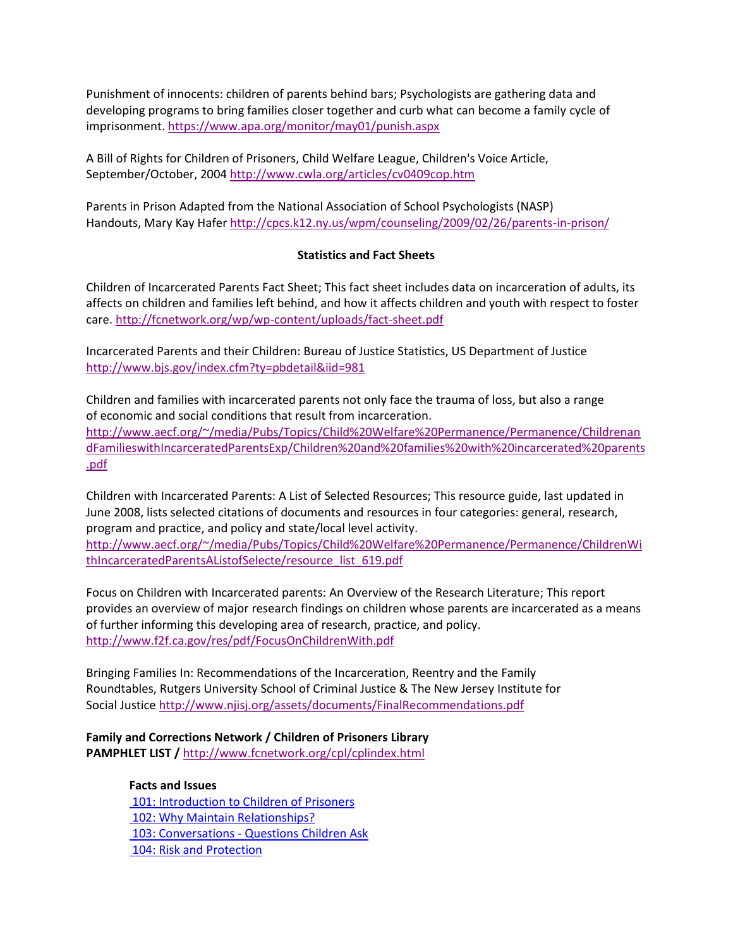Punishment of innocents: children of parents behind bars; Psychologists are gathering data and developing programs to bring families closer together and curb what can become a family cycle of imprisonment[. https://www.apa.org/monitor/may01/punish.aspx](https://www.apa.org/monitor/may01/punish.aspx)

A Bill of Rights for Children of Prisoners, Child Welfare League, Children's Voice Article, September/October, 2004<http://www.cwla.org/articles/cv0409cop.htm>

Parents in Prison Adapted from the National Association of School Psychologists (NASP) Handouts, Mary Kay Hafer<http://cpcs.k12.ny.us/wpm/counseling/2009/02/26/parents-in-prison/>

## **Statistics and Fact Sheets**

Children of Incarcerated Parents Fact Sheet; This fact sheet includes data on incarceration of adults, its affects on children and families left behind, and how it affects children and youth with respect to foster care[. http://fcnetwork.org/wp/wp-content/uploads/fact-sheet.pdf](http://fcnetwork.org/wp/wp-content/uploads/fact-sheet.pdf)

Incarcerated Parents and their Children: Bureau of Justice Statistics, US Department of Justice <http://www.bjs.gov/index.cfm?ty=pbdetail&iid=981>

Children and families with incarcerated parents not only face the trauma of loss, but also a range of economic and social conditions that result from incarceration. [http://www.aecf.org/~/media/Pubs/Topics/Child%20Welfare%20Permanence/Permanence/Childrenan](http://www.aecf.org/~/media/Pubs/Topics/Child%20Welfare%20Permanence/Permanence/ChildrenandFamilieswithIncarceratedParentsExp/Children%20and%20families%20with%20incarcerated%20parents.pdf) [dFamilieswithIncarceratedParentsExp/Children%20and%20families%20with%20incarcerated%20parents](http://www.aecf.org/~/media/Pubs/Topics/Child%20Welfare%20Permanence/Permanence/ChildrenandFamilieswithIncarceratedParentsExp/Children%20and%20families%20with%20incarcerated%20parents.pdf) [.pdf](http://www.aecf.org/~/media/Pubs/Topics/Child%20Welfare%20Permanence/Permanence/ChildrenandFamilieswithIncarceratedParentsExp/Children%20and%20families%20with%20incarcerated%20parents.pdf)

Children with Incarcerated Parents: A List of Selected Resources; This resource guide, last updated in June 2008, lists selected citations of documents and resources in four categories: general, research, program and practice, and policy and state/local level activity.

[http://www.aecf.org/~/media/Pubs/Topics/Child%20Welfare%20Permanence/Permanence/ChildrenWi](http://www.aecf.org/~/media/Pubs/Topics/Child%20Welfare%20Permanence/Permanence/ChildrenWithIncarceratedParentsAListofSelecte/resource_list_619.pdf) [thIncarceratedParentsAListofSelecte/resource\\_list\\_619.pdf](http://www.aecf.org/~/media/Pubs/Topics/Child%20Welfare%20Permanence/Permanence/ChildrenWithIncarceratedParentsAListofSelecte/resource_list_619.pdf)

Focus on Children with Incarcerated parents: An Overview of the Research Literature; This report provides an overview of major research findings on children whose parents are incarcerated as a means of further informing this developing area of research, practice, and policy. <http://www.f2f.ca.gov/res/pdf/FocusOnChildrenWith.pdf>

Bringing Families In: Recommendations of the Incarceration, Reentry and the Family Roundtables, Rutgers University School of Criminal Justice & The New Jersey Institute for Social Justic[e http://www.njisj.org/assets/documents/FinalRecommendations.pdf](http://www.njisj.org/assets/documents/FinalRecommendations.pdf)

# **Family and Corrections Network / Children of Prisoners Library PAMPHLET LIST /** <http://www.fcnetwork.org/cpl/cplindex.html>

**Facts and Issues**

[101: Introduction to Children of Prisoners](http://www.fcnetwork.org/cpl/CPL101-Introduction.html) [102: Why Maintain Relationships?](http://www.fcnetwork.org/cpl/CPL102-WhyMaintain.html) 103: Conversations - [Questions Children Ask](http://www.fcnetwork.org/cpl/CPL103-Conversations.html) [104: Risk and Protection](http://www.fcnetwork.org/cpl/CPL104-RiskandProtection.html)